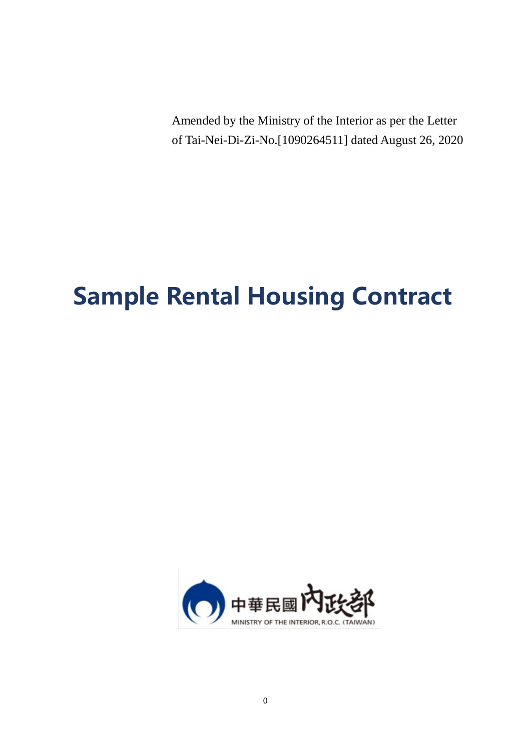Amended by the Ministry of the Interior as per the Letter of Tai-Nei-Di-Zi-No.[1090264511] dated August 26, 2020

# **Sample Rental Housing Contract**

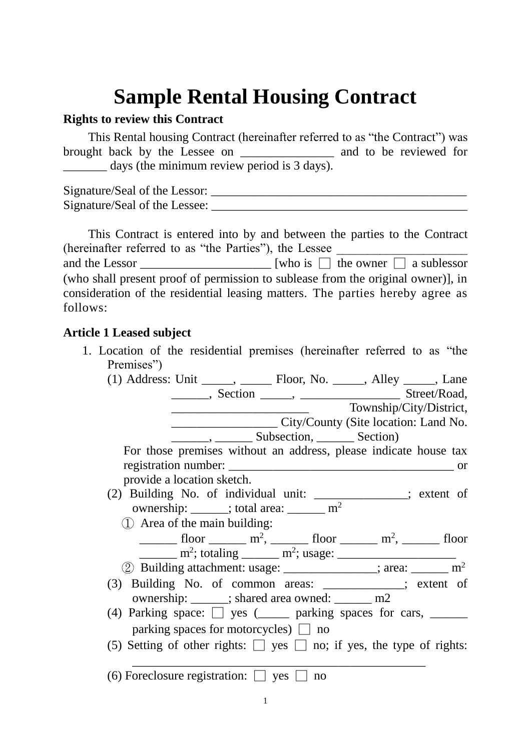## **Sample Rental Housing Contract**

### **Rights to review this Contract**

This Rental housing Contract (hereinafter referred to as "the Contract") was brought back by the Lessee on \_\_\_\_\_\_\_\_\_\_\_\_\_\_\_\_\_\_\_ and to be reviewed for days (the minimum review period is 3 days).

Signature/Seal of the Lessor: \_\_\_\_\_\_\_\_\_\_\_\_\_\_\_\_\_\_\_\_\_\_\_\_\_\_\_\_\_\_\_\_\_\_\_\_\_\_\_\_\_ Signature/Seal of the Lessee: \_\_\_\_\_\_\_\_\_\_\_\_\_\_\_\_\_\_\_\_\_\_\_\_\_\_\_\_\_\_\_\_\_\_\_\_\_\_\_\_\_

|                                                        | This Contract is entered into by and between the parties to the Contract                                                                                         |
|--------------------------------------------------------|------------------------------------------------------------------------------------------------------------------------------------------------------------------|
| (hereinafter referred to as "the Parties"), the Lessee |                                                                                                                                                                  |
|                                                        | and the Lessor $\Box$ [who is $\Box$ the owner $\Box$ a sublessor                                                                                                |
| follows:                                               | (who shall present proof of permission to sublease from the original owner), in<br>consideration of the residential leasing matters. The parties hereby agree as |

### **Article 1 Leased subject**

1. Location of the residential premises (hereinafter referred to as "the Premises")

| (1) Address: Unit ______, _________ Floor, No. ______, Alley ______, Lane                                                                                                                                                                                                                                                                                                                                                                                                 |
|---------------------------------------------------------------------------------------------------------------------------------------------------------------------------------------------------------------------------------------------------------------------------------------------------------------------------------------------------------------------------------------------------------------------------------------------------------------------------|
|                                                                                                                                                                                                                                                                                                                                                                                                                                                                           |
| Township/City/District,                                                                                                                                                                                                                                                                                                                                                                                                                                                   |
| City/County (Site location: Land No.                                                                                                                                                                                                                                                                                                                                                                                                                                      |
| <u>Subsection</u> , Subsection, Section                                                                                                                                                                                                                                                                                                                                                                                                                                   |
| For those premises without an address, please indicate house tax                                                                                                                                                                                                                                                                                                                                                                                                          |
|                                                                                                                                                                                                                                                                                                                                                                                                                                                                           |
| provide a location sketch.                                                                                                                                                                                                                                                                                                                                                                                                                                                |
| (2) Building No. of individual unit: ______________; extent of                                                                                                                                                                                                                                                                                                                                                                                                            |
| ownership: _____; total area: _______ m <sup>2</sup>                                                                                                                                                                                                                                                                                                                                                                                                                      |
| $(1)$ Area of the main building:                                                                                                                                                                                                                                                                                                                                                                                                                                          |
| $\frac{1}{\sqrt{1-\frac{1}{2}}}\text{floor}\frac{m^2}{1-\sqrt{1-\frac{1}{2}}}\text{floor}\frac{1}{\sqrt{1-\frac{1}{2}}}\text{floor}\frac{1}{\sqrt{1-\frac{1}{2}}}\text{floor}\frac{1}{\sqrt{1-\frac{1}{2}}}\text{floor}\frac{1}{\sqrt{1-\frac{1}{2}}}\text{floor}\frac{1}{\sqrt{1-\frac{1}{2}}}\text{floor}\frac{1}{\sqrt{1-\frac{1}{2}}}\text{floor}\frac{1}{\sqrt{1-\frac{1}{2}}}\text{floor}\frac{1}{\sqrt{1-\frac{1}{2}}}\text{floor}\frac{1}{\sqrt{1-\frac{1}{2}}}\$ |
| $\frac{m^2}{2}$ ; totaling $\frac{m^2}{2}$ ; usage: $\frac{m^2}{2}$                                                                                                                                                                                                                                                                                                                                                                                                       |
| (2) Building attachment: usage: _____________; area: ______ m <sup>2</sup>                                                                                                                                                                                                                                                                                                                                                                                                |
| (3) Building No. of common areas: __________; extent of                                                                                                                                                                                                                                                                                                                                                                                                                   |
| ownership: ______; shared area owned: _______ m2                                                                                                                                                                                                                                                                                                                                                                                                                          |
| (4) Parking space: $\Box$ yes ( $\Box$ parking spaces for cars, $\Box$                                                                                                                                                                                                                                                                                                                                                                                                    |
| parking spaces for motorcycles) $\Box$ no                                                                                                                                                                                                                                                                                                                                                                                                                                 |
| (5) Setting of other rights: $\Box$ yes $\Box$ no; if yes, the type of rights:                                                                                                                                                                                                                                                                                                                                                                                            |
| (6) Foreclosure registration: $\Box$ yes $\Box$<br>no                                                                                                                                                                                                                                                                                                                                                                                                                     |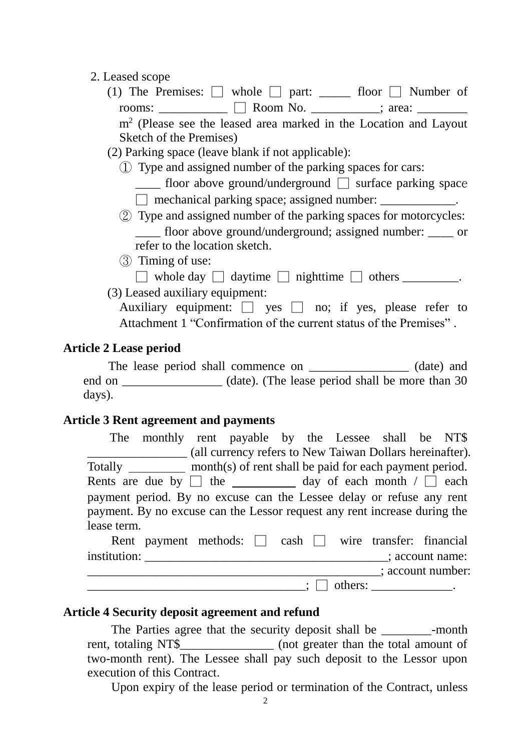### 2. Leased scope

(1) The Premises:  $\Box$  whole  $\Box$  part: \_\_\_\_\_\_\_ floor  $\Box$  Number of rooms:  $\Box$  Room No.  $\Box$ ; area:

m<sup>2</sup> (Please see the leased area marked in the Location and Layout Sketch of the Premises)

- (2) Parking space (leave blank if not applicable):
	- ① Type and assigned number of the parking spaces for cars:

floor above ground/underground  $\Box$  surface parking space  $\Box$  mechanical parking space; assigned number:

- ② Type and assigned number of the parking spaces for motorcycles: \_\_\_\_ floor above ground/underground; assigned number: \_\_\_\_ or refer to the location sketch.
- ③ Timing of use:

 $\Box$  whole day  $\Box$  daytime  $\Box$  nighttime  $\Box$  others  $\Box$ .

(3) Leased auxiliary equipment:

Auxiliary equipment:  $\Box$  yes  $\Box$  no; if yes, please refer to Attachment 1 "Confirmation of the current status of the Premises" .

### **Article 2 Lease period**

The lease period shall commence on  $(date)$  and end on \_\_\_\_\_\_\_\_\_\_\_\_\_\_\_\_\_\_ (date). (The lease period shall be more than 30 days).

### **Article 3 Rent agreement and payments**

|              | The monthly rent payable by the Lessee shall be NT\$                        |  |  |                                                          |                 |
|--------------|-----------------------------------------------------------------------------|--|--|----------------------------------------------------------|-----------------|
|              |                                                                             |  |  | (all currency refers to New Taiwan Dollars hereinafter). |                 |
|              | Totally ___________ month(s) of rent shall be paid for each payment period. |  |  |                                                          |                 |
|              | Rents are due by $\Box$ the _____________ day of each month $\Box$ each     |  |  |                                                          |                 |
|              | payment period. By no excuse can the Lessee delay or refuse any rent        |  |  |                                                          |                 |
|              | payment. By no excuse can the Lessor request any rent increase during the   |  |  |                                                          |                 |
| lease term.  |                                                                             |  |  |                                                          |                 |
|              | Rent payment methods: $\Box$ cash $\Box$ wire transfer: financial           |  |  |                                                          |                 |
| institution: |                                                                             |  |  |                                                          | ; account name: |
|              |                                                                             |  |  | $\therefore$ account number:                             |                 |
|              |                                                                             |  |  | $otherwise:$ ________________.                           |                 |

### **Article 4 Security deposit agreement and refund**

The Parties agree that the security deposit shall be -month rent, totaling NT\$\_\_\_\_\_\_\_\_\_\_\_\_\_\_\_ (not greater than the total amount of two-month rent). The Lessee shall pay such deposit to the Lessor upon execution of this Contract.

Upon expiry of the lease period or termination of the Contract, unless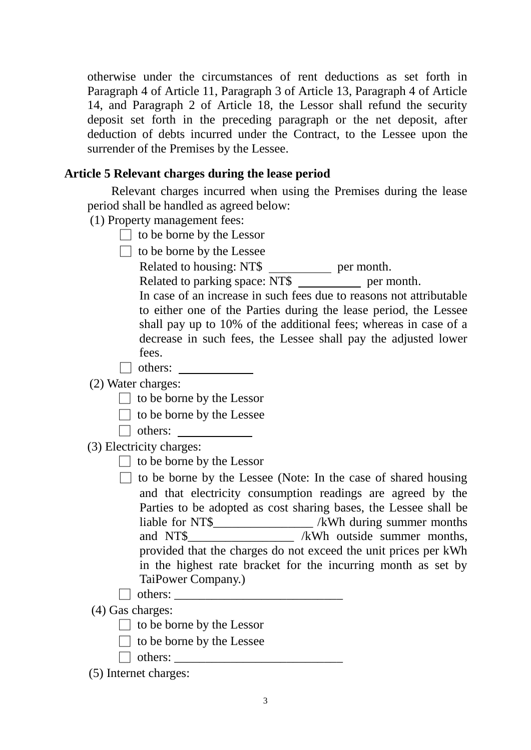otherwise under the circumstances of rent deductions as set forth in Paragraph 4 of Article 11, Paragraph 3 of Article 13, Paragraph 4 of Article 14, and Paragraph 2 of Article 18, the Lessor shall refund the security deposit set forth in the preceding paragraph or the net deposit, after deduction of debts incurred under the Contract, to the Lessee upon the surrender of the Premises by the Lessee.

### **Article 5 Relevant charges during the lease period**

Relevant charges incurred when using the Premises during the lease period shall be handled as agreed below:

(1) Property management fees:

 $\Box$  to be borne by the Lessor

 $\Box$  to be borne by the Lessee

Related to housing: NT\$ \_\_\_\_\_\_\_\_\_\_\_ per month.

Related to parking space: NT\$ \_\_\_\_\_\_\_\_\_\_ per month.

In case of an increase in such fees due to reasons not attributable to either one of the Parties during the lease period, the Lessee shall pay up to 10% of the additional fees; whereas in case of a decrease in such fees, the Lessee shall pay the adjusted lower fees.

□ others:

(2) Water charges:

- $\Box$  to be borne by the Lessor
- $\Box$  to be borne by the Lessee
- □ others:

(3) Electricity charges:

 $\Box$  to be borne by the Lessor

 $\Box$  to be borne by the Lessee (Note: In the case of shared housing and that electricity consumption readings are agreed by the Parties to be adopted as cost sharing bases, the Lessee shall be liable for NT\$\_\_\_\_\_\_\_\_\_\_\_\_\_\_\_\_ /kWh during summer months and NT\$ /kWh outside summer months, provided that the charges do not exceed the unit prices per kWh in the highest rate bracket for the incurring month as set by TaiPower Company.)

(4) Gas charges:

 $\Box$  to be borne by the Lessor

 $\Box$  others:

- $\Box$  to be borne by the Lessee
- $\Box$  others:

(5) Internet charges: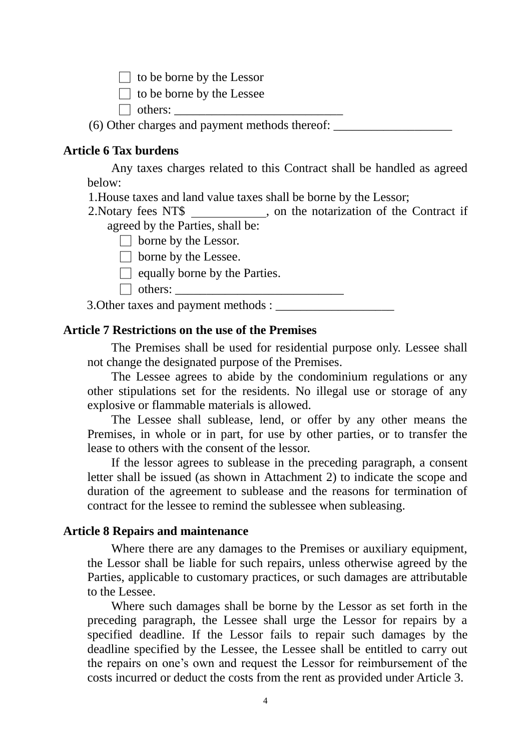$\Box$  to be borne by the Lessor

 $\Box$  to be borne by the Lessee

 $\Box$  others:

(6) Other charges and payment methods thereof: \_\_\_\_\_\_\_\_\_\_\_\_\_\_\_\_\_\_\_

### **Article 6 Tax burdens**

Any taxes charges related to this Contract shall be handled as agreed below:

1.House taxes and land value taxes shall be borne by the Lessor;

2. Notary fees NT\$ \_\_\_\_\_\_\_\_\_\_\_, on the notarization of the Contract if agreed by the Parties, shall be:

 $\Box$  borne by the Lessor.

 $\Box$  borne by the Lessee.

 $\Box$  equally borne by the Parties.

□ others: \_\_\_\_\_\_\_\_\_\_\_\_\_\_\_\_\_\_\_\_\_\_\_\_\_\_\_

3.Other taxes and payment methods : \_\_\_\_\_\_\_\_\_\_\_\_\_\_\_\_\_\_\_

### **Article 7 Restrictions on the use of the Premises**

The Premises shall be used for residential purpose only. Lessee shall not change the designated purpose of the Premises.

The Lessee agrees to abide by the condominium regulations or any other stipulations set for the residents. No illegal use or storage of any explosive or flammable materials is allowed.

The Lessee shall sublease, lend, or offer by any other means the Premises, in whole or in part, for use by other parties, or to transfer the lease to others with the consent of the lessor.

If the lessor agrees to sublease in the preceding paragraph, a consent letter shall be issued (as shown in Attachment 2) to indicate the scope and duration of the agreement to sublease and the reasons for termination of contract for the lessee to remind the sublessee when subleasing.

### **Article 8 Repairs and maintenance**

Where there are any damages to the Premises or auxiliary equipment, the Lessor shall be liable for such repairs, unless otherwise agreed by the Parties, applicable to customary practices, or such damages are attributable to the Lessee.

Where such damages shall be borne by the Lessor as set forth in the preceding paragraph, the Lessee shall urge the Lessor for repairs by a specified deadline. If the Lessor fails to repair such damages by the deadline specified by the Lessee, the Lessee shall be entitled to carry out the repairs on one's own and request the Lessor for reimbursement of the costs incurred or deduct the costs from the rent as provided under Article 3.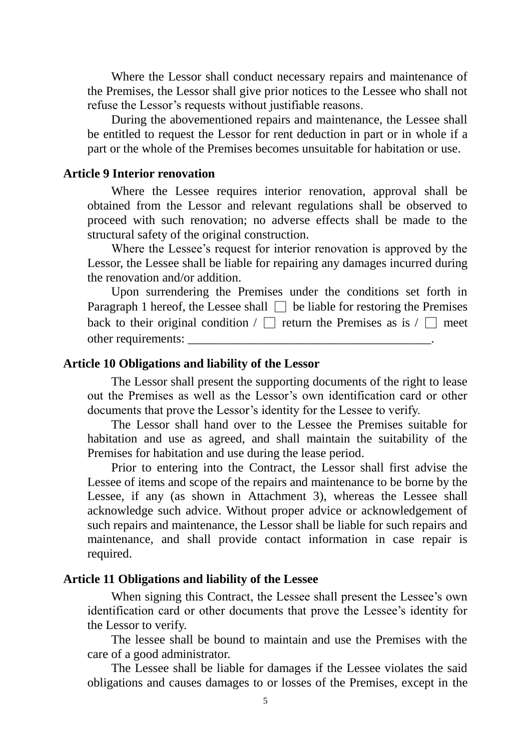Where the Lessor shall conduct necessary repairs and maintenance of the Premises, the Lessor shall give prior notices to the Lessee who shall not refuse the Lessor's requests without justifiable reasons.

During the abovementioned repairs and maintenance, the Lessee shall be entitled to request the Lessor for rent deduction in part or in whole if a part or the whole of the Premises becomes unsuitable for habitation or use.

### **Article 9 Interior renovation**

Where the Lessee requires interior renovation, approval shall be obtained from the Lessor and relevant regulations shall be observed to proceed with such renovation; no adverse effects shall be made to the structural safety of the original construction.

Where the Lessee's request for interior renovation is approved by the Lessor, the Lessee shall be liable for repairing any damages incurred during the renovation and/or addition.

Upon surrendering the Premises under the conditions set forth in Paragraph 1 hereof, the Lessee shall  $\Box$  be liable for restoring the Premises back to their original condition /  $\Box$  return the Premises as is /  $\Box$  meet other requirements:

### **Article 10 Obligations and liability of the Lessor**

The Lessor shall present the supporting documents of the right to lease out the Premises as well as the Lessor's own identification card or other documents that prove the Lessor's identity for the Lessee to verify.

The Lessor shall hand over to the Lessee the Premises suitable for habitation and use as agreed, and shall maintain the suitability of the Premises for habitation and use during the lease period.

Prior to entering into the Contract, the Lessor shall first advise the Lessee of items and scope of the repairs and maintenance to be borne by the Lessee, if any (as shown in Attachment 3), whereas the Lessee shall acknowledge such advice. Without proper advice or acknowledgement of such repairs and maintenance, the Lessor shall be liable for such repairs and maintenance, and shall provide contact information in case repair is required.

#### **Article 11 Obligations and liability of the Lessee**

When signing this Contract, the Lessee shall present the Lessee's own identification card or other documents that prove the Lessee's identity for the Lessor to verify.

The lessee shall be bound to maintain and use the Premises with the care of a good administrator.

The Lessee shall be liable for damages if the Lessee violates the said obligations and causes damages to or losses of the Premises, except in the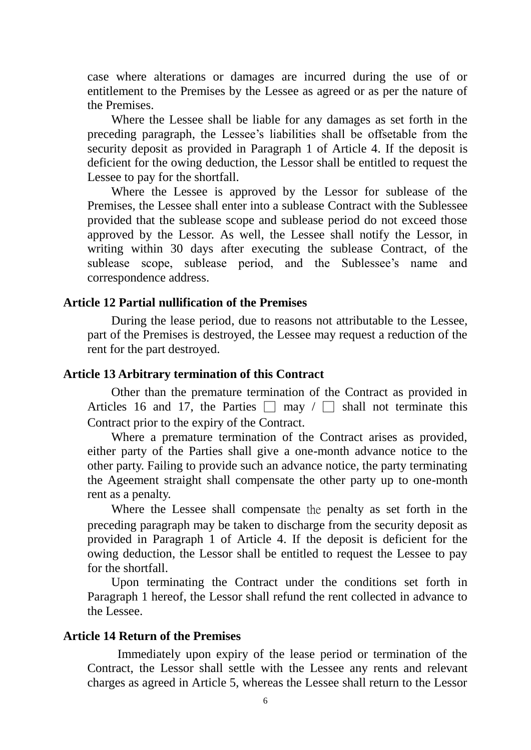case where alterations or damages are incurred during the use of or entitlement to the Premises by the Lessee as agreed or as per the nature of the Premises.

Where the Lessee shall be liable for any damages as set forth in the preceding paragraph, the Lessee's liabilities shall be offsetable from the security deposit as provided in Paragraph 1 of Article 4. If the deposit is deficient for the owing deduction, the Lessor shall be entitled to request the Lessee to pay for the shortfall.

Where the Lessee is approved by the Lessor for sublease of the Premises, the Lessee shall enter into a sublease Contract with the Sublessee provided that the sublease scope and sublease period do not exceed those approved by the Lessor. As well, the Lessee shall notify the Lessor, in writing within 30 days after executing the sublease Contract, of the sublease scope, sublease period, and the Sublessee's name and correspondence address.

### **Article 12 Partial nullification of the Premises**

During the lease period, due to reasons not attributable to the Lessee, part of the Premises is destroyed, the Lessee may request a reduction of the rent for the part destroyed.

### **Article 13 Arbitrary termination of this Contract**

Other than the premature termination of the Contract as provided in Articles 16 and 17, the Parties  $\Box$  may  $\Box$  shall not terminate this Contract prior to the expiry of the Contract.

Where a premature termination of the Contract arises as provided, either party of the Parties shall give a one-month advance notice to the other party. Failing to provide such an advance notice, the party terminating the Ageement straight shall compensate the other party up to one-month rent as a penalty.

Where the Lessee shall compensate the penalty as set forth in the preceding paragraph may be taken to discharge from the security deposit as provided in Paragraph 1 of Article 4. If the deposit is deficient for the owing deduction, the Lessor shall be entitled to request the Lessee to pay for the shortfall.

Upon terminating the Contract under the conditions set forth in Paragraph 1 hereof, the Lessor shall refund the rent collected in advance to the Lessee.

#### **Article 14 Return of the Premises**

Immediately upon expiry of the lease period or termination of the Contract, the Lessor shall settle with the Lessee any rents and relevant charges as agreed in Article 5, whereas the Lessee shall return to the Lessor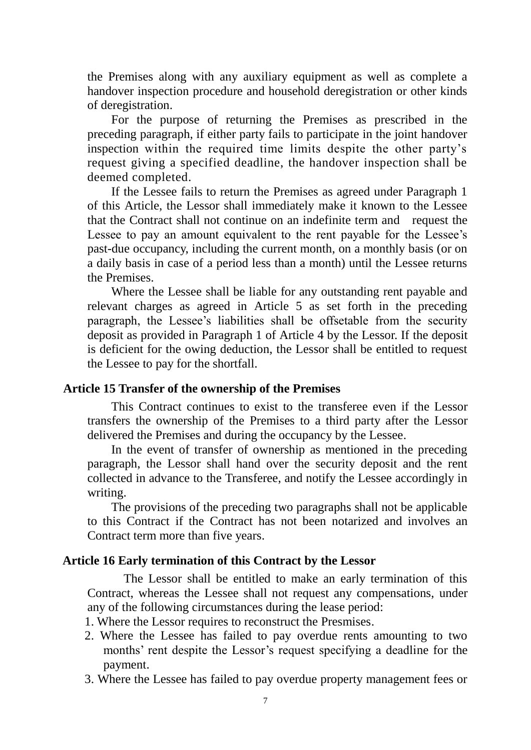the Premises along with any auxiliary equipment as well as complete a handover inspection procedure and household deregistration or other kinds of deregistration.

For the purpose of returning the Premises as prescribed in the preceding paragraph, if either party fails to participate in the joint handover inspection within the required time limits despite the other party's request giving a specified deadline, the handover inspection shall be deemed completed.

If the Lessee fails to return the Premises as agreed under Paragraph 1 of this Article, the Lessor shall immediately make it known to the Lessee that the Contract shall not continue on an indefinite term and request the Lessee to pay an amount equivalent to the rent payable for the Lessee's past-due occupancy, including the current month, on a monthly basis (or on a daily basis in case of a period less than a month) until the Lessee returns the Premises.

Where the Lessee shall be liable for any outstanding rent payable and relevant charges as agreed in Article 5 as set forth in the preceding paragraph, the Lessee's liabilities shall be offsetable from the security deposit as provided in Paragraph 1 of Article 4 by the Lessor. If the deposit is deficient for the owing deduction, the Lessor shall be entitled to request the Lessee to pay for the shortfall.

### **Article 15 Transfer of the ownership of the Premises**

This Contract continues to exist to the transferee even if the Lessor transfers the ownership of the Premises to a third party after the Lessor delivered the Premises and during the occupancy by the Lessee.

In the event of transfer of ownership as mentioned in the preceding paragraph, the Lessor shall hand over the security deposit and the rent collected in advance to the Transferee, and notify the Lessee accordingly in writing.

The provisions of the preceding two paragraphs shall not be applicable to this Contract if the Contract has not been notarized and involves an Contract term more than five years.

### **Article 16 Early termination of this Contract by the Lessor**

 The Lessor shall be entitled to make an early termination of this Contract, whereas the Lessee shall not request any compensations, under any of the following circumstances during the lease period:

1. Where the Lessor requires to reconstruct the Presmises.

- 2. Where the Lessee has failed to pay overdue rents amounting to two months' rent despite the Lessor's request specifying a deadline for the payment.
- 3. Where the Lessee has failed to pay overdue property management fees or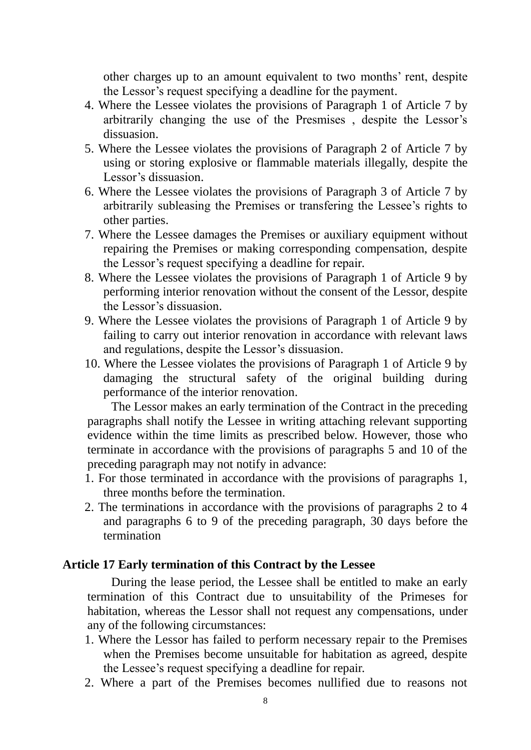other charges up to an amount equivalent to two months' rent, despite the Lessor's request specifying a deadline for the payment.

- 4. Where the Lessee violates the provisions of Paragraph 1 of Article 7 by arbitrarily changing the use of the Presmises , despite the Lessor's dissuasion.
- 5. Where the Lessee violates the provisions of Paragraph 2 of Article 7 by using or storing explosive or flammable materials illegally, despite the Lessor's dissuasion.
- 6. Where the Lessee violates the provisions of Paragraph 3 of Article 7 by arbitrarily subleasing the Premises or transfering the Lessee's rights to other parties.
- 7. Where the Lessee damages the Premises or auxiliary equipment without repairing the Premises or making corresponding compensation, despite the Lessor's request specifying a deadline for repair.
- 8. Where the Lessee violates the provisions of Paragraph 1 of Article 9 by performing interior renovation without the consent of the Lessor, despite the Lessor's dissuasion.
- 9. Where the Lessee violates the provisions of Paragraph 1 of Article 9 by failing to carry out interior renovation in accordance with relevant laws and regulations, despite the Lessor's dissuasion.
- 10. Where the Lessee violates the provisions of Paragraph 1 of Article 9 by damaging the structural safety of the original building during performance of the interior renovation.

The Lessor makes an early termination of the Contract in the preceding paragraphs shall notify the Lessee in writing attaching relevant supporting evidence within the time limits as prescribed below. However, those who terminate in accordance with the provisions of paragraphs 5 and 10 of the preceding paragraph may not notify in advance:

- 1. For those terminated in accordance with the provisions of paragraphs 1, three months before the termination.
- 2. The terminations in accordance with the provisions of paragraphs 2 to 4 and paragraphs 6 to 9 of the preceding paragraph, 30 days before the termination

### **Article 17 Early termination of this Contract by the Lessee**

During the lease period, the Lessee shall be entitled to make an early termination of this Contract due to unsuitability of the Primeses for habitation, whereas the Lessor shall not request any compensations, under any of the following circumstances:

- 1. Where the Lessor has failed to perform necessary repair to the Premises when the Premises become unsuitable for habitation as agreed, despite the Lessee's request specifying a deadline for repair.
- 2. Where a part of the Premises becomes nullified due to reasons not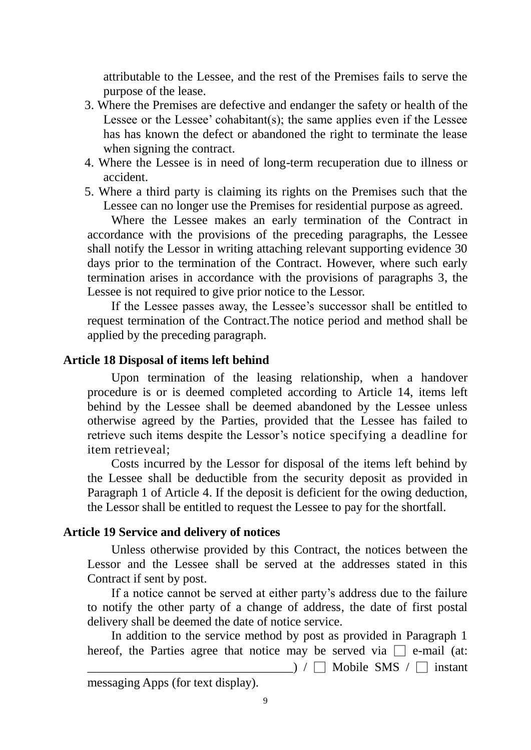attributable to the Lessee, and the rest of the Premises fails to serve the purpose of the lease.

- 3. Where the Premises are defective and endanger the safety or health of the Lessee or the Lessee' cohabitant(s); the same applies even if the Lessee has has known the defect or abandoned the right to terminate the lease when signing the contract.
- 4. Where the Lessee is in need of long-term recuperation due to illness or accident.
- 5. Where a third party is claiming its rights on the Premises such that the Lessee can no longer use the Premises for residential purpose as agreed.

Where the Lessee makes an early termination of the Contract in accordance with the provisions of the preceding paragraphs, the Lessee shall notify the Lessor in writing attaching relevant supporting evidence 30 days prior to the termination of the Contract. However, where such early termination arises in accordance with the provisions of paragraphs 3, the Lessee is not required to give prior notice to the Lessor.

If the Lessee passes away, the Lessee's successor shall be entitled to request termination of the Contract.The notice period and method shall be applied by the preceding paragraph.

### **Article 18 Disposal of items left behind**

Upon termination of the leasing relationship, when a handover procedure is or is deemed completed according to Article 14, items left behind by the Lessee shall be deemed abandoned by the Lessee unless otherwise agreed by the Parties, provided that the Lessee has failed to retrieve such items despite the Lessor's notice specifying a deadline for item retrieveal;

Costs incurred by the Lessor for disposal of the items left behind by the Lessee shall be deductible from the security deposit as provided in Paragraph 1 of Article 4. If the deposit is deficient for the owing deduction, the Lessor shall be entitled to request the Lessee to pay for the shortfall.

### **Article 19 Service and delivery of notices**

Unless otherwise provided by this Contract, the notices between the Lessor and the Lessee shall be served at the addresses stated in this Contract if sent by post.

If a notice cannot be served at either party's address due to the failure to notify the other party of a change of address, the date of first postal delivery shall be deemed the date of notice service.

In addition to the service method by post as provided in Paragraph 1 hereof, the Parties agree that notice may be served via  $\Box$  e-mail (at:  $\Box$ ) /  $\Box$  Mobile SMS /  $\Box$  instant

messaging Apps (for text display).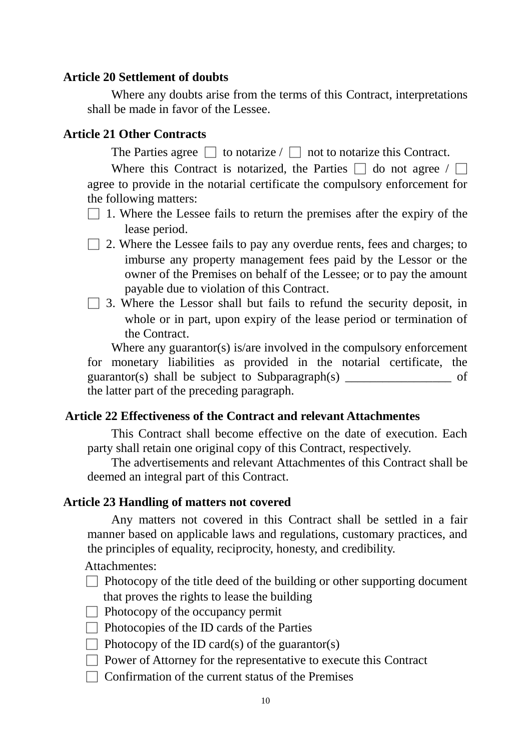### **Article 20 Settlement of doubts**

Where any doubts arise from the terms of this Contract, interpretations shall be made in favor of the Lessee.

### **Article 21 Other Contracts**

The Parties agree  $\Box$  to notarize /  $\Box$  not to notarize this Contract.

Where this Contract is notarized, the Parties  $\Box$  do not agree /  $\Box$ agree to provide in the notarial certificate the compulsory enforcement for the following matters:

- $\Box$  1. Where the Lessee fails to return the premises after the expiry of the lease period.
- $\Box$  2. Where the Lessee fails to pay any overdue rents, fees and charges; to imburse any property management fees paid by the Lessor or the owner of the Premises on behalf of the Lessee; or to pay the amount payable due to violation of this Contract.
- $\Box$  3. Where the Lessor shall but fails to refund the security deposit, in whole or in part, upon expiry of the lease period or termination of the Contract.

Where any guarantor(s) is/are involved in the compulsory enforcement for monetary liabilities as provided in the notarial certificate, the guarantor(s) shall be subject to Subparagraph(s) \_\_\_\_\_\_\_\_\_\_\_\_\_\_\_\_\_ of the latter part of the preceding paragraph.

### **Article 22 Effectiveness of the Contract and relevant Attachmentes**

This Contract shall become effective on the date of execution. Each party shall retain one original copy of this Contract, respectively.

The advertisements and relevant Attachmentes of this Contract shall be deemed an integral part of this Contract.

### **Article 23 Handling of matters not covered**

Any matters not covered in this Contract shall be settled in a fair manner based on applicable laws and regulations, customary practices, and the principles of equality, reciprocity, honesty, and credibility.

Attachmentes:

- $\Box$  Photocopy of the title deed of the building or other supporting document that proves the rights to lease the building
- $\Box$  Photocopy of the occupancy permit
- $\Box$  Photocopies of the ID cards of the Parties
- $\Box$  Photocopy of the ID card(s) of the guarantor(s)
- $\Box$  Power of Attorney for the representative to execute this Contract
- $\Box$  Confirmation of the current status of the Premises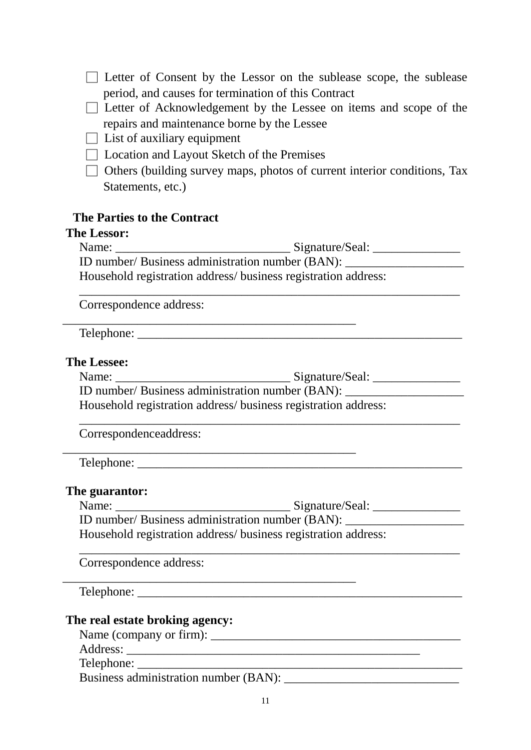□ Letter of Consent by the Lessor on the sublease scope, the sublease period, and causes for termination of this Contract  $\Box$  Letter of Acknowledgement by the Lessee on items and scope of the repairs and maintenance borne by the Lessee  $\Box$  List of auxiliary equipment  $\Box$  Location and Layout Sketch of the Premises  $\Box$  Others (building survey maps, photos of current interior conditions, Tax [Statements,](http://terms.naer.edu.tw/detail/1506803/?index=1) etc.) **The Parties to the Contract The Lessor:** Name: \_\_\_\_\_\_\_\_\_\_\_\_\_\_\_\_\_\_\_\_\_\_\_\_\_\_\_\_ Signature/Seal: \_\_\_\_\_\_\_\_\_\_\_\_\_\_ ID number/ Business administration number (BAN): \_\_\_\_\_\_\_\_\_\_\_\_\_\_\_\_\_\_\_ Household registration address/ business registration address: \_\_\_\_\_\_\_\_\_\_\_\_\_\_\_\_\_\_\_\_\_\_\_\_\_\_\_\_\_\_\_\_\_\_\_\_\_\_\_\_\_\_\_\_\_\_\_\_\_\_\_\_\_\_\_\_\_\_\_\_\_ Correspondence address: \_\_\_\_\_\_\_\_\_\_\_\_\_\_\_\_\_\_\_\_\_\_\_\_\_\_\_\_\_\_\_\_\_\_\_\_\_\_\_\_\_\_\_\_\_\_\_ Telephone: \_\_\_\_\_\_\_\_\_\_\_\_\_\_\_\_\_\_\_\_\_\_\_\_\_\_\_\_\_\_\_\_\_\_\_\_\_\_\_\_\_\_\_\_\_\_\_\_\_\_\_\_ **The Lessee:** Name: \_\_\_\_\_\_\_\_\_\_\_\_\_\_\_\_\_\_\_\_\_\_\_\_\_\_\_\_ Signature/Seal: \_\_\_\_\_\_\_\_\_\_\_\_\_\_ ID number/ Business administration number (BAN): \_\_\_\_\_\_\_\_\_\_\_\_\_\_\_\_\_\_\_ Household registration address/ business registration address: \_\_\_\_\_\_\_\_\_\_\_\_\_\_\_\_\_\_\_\_\_\_\_\_\_\_\_\_\_\_\_\_\_\_\_\_\_\_\_\_\_\_\_\_\_\_\_\_\_\_\_\_\_\_\_\_\_\_\_\_\_ Correspondenceaddress: \_\_\_\_\_\_\_\_\_\_\_\_\_\_\_\_\_\_\_\_\_\_\_\_\_\_\_\_\_\_\_\_\_\_\_\_\_\_\_\_\_\_\_\_\_\_\_ Telephone: \_\_\_\_\_\_\_\_\_\_\_\_\_\_\_\_\_\_\_\_\_\_\_\_\_\_\_\_\_\_\_\_\_\_\_\_\_\_\_\_\_\_\_\_\_\_\_\_\_\_\_\_ **The guarantor:** Name: \_\_\_\_\_\_\_\_\_\_\_\_\_\_\_\_\_\_\_\_\_\_\_\_\_\_\_\_ Signature/Seal: \_\_\_\_\_\_\_\_\_\_\_\_\_\_ ID number/ Business administration number (BAN): Household registration address/ business registration address: \_\_\_\_\_\_\_\_\_\_\_\_\_\_\_\_\_\_\_\_\_\_\_\_\_\_\_\_\_\_\_\_\_\_\_\_\_\_\_\_\_\_\_\_\_\_\_\_\_\_\_\_\_\_\_\_\_\_\_\_\_ Correspondence address:  $\frac{1}{2}$  ,  $\frac{1}{2}$  ,  $\frac{1}{2}$  ,  $\frac{1}{2}$  ,  $\frac{1}{2}$  ,  $\frac{1}{2}$  ,  $\frac{1}{2}$  ,  $\frac{1}{2}$  ,  $\frac{1}{2}$  ,  $\frac{1}{2}$  ,  $\frac{1}{2}$  ,  $\frac{1}{2}$  ,  $\frac{1}{2}$  ,  $\frac{1}{2}$  ,  $\frac{1}{2}$  ,  $\frac{1}{2}$  ,  $\frac{1}{2}$  ,  $\frac{1}{2}$  ,  $\frac{1$ Telephone: \_\_\_\_\_\_\_\_\_\_\_\_\_\_\_\_\_\_\_\_\_\_\_\_\_\_\_\_\_\_\_\_\_\_\_\_\_\_\_\_\_\_\_\_\_\_\_\_\_\_\_\_ **The real estate broking agency:** Name (company or firm): \_\_\_\_\_\_\_\_\_\_\_\_\_\_\_\_\_\_\_\_\_\_\_\_\_\_\_\_\_\_\_\_\_\_\_\_\_\_\_\_ Address: \_\_\_\_\_\_\_\_\_\_\_\_\_\_\_\_\_\_\_\_\_\_\_\_\_\_\_\_\_\_\_\_\_\_\_\_\_\_\_\_\_\_\_\_\_\_\_ Telephone: Business administration number (BAN): \_\_\_\_\_\_\_\_\_\_\_\_\_\_\_\_\_\_\_\_\_\_\_\_\_\_\_\_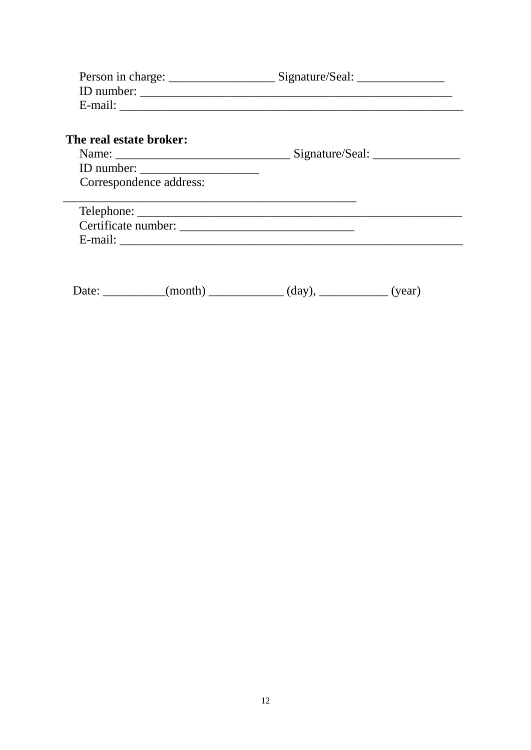| The real estate broker:<br>ID number:<br>Correspondence address: |  |
|------------------------------------------------------------------|--|
| E-mail: $\qquad \qquad$                                          |  |

Date: \_\_\_\_\_\_\_\_\_(month) \_\_\_\_\_\_\_\_\_(day), \_\_\_\_\_\_\_\_(year)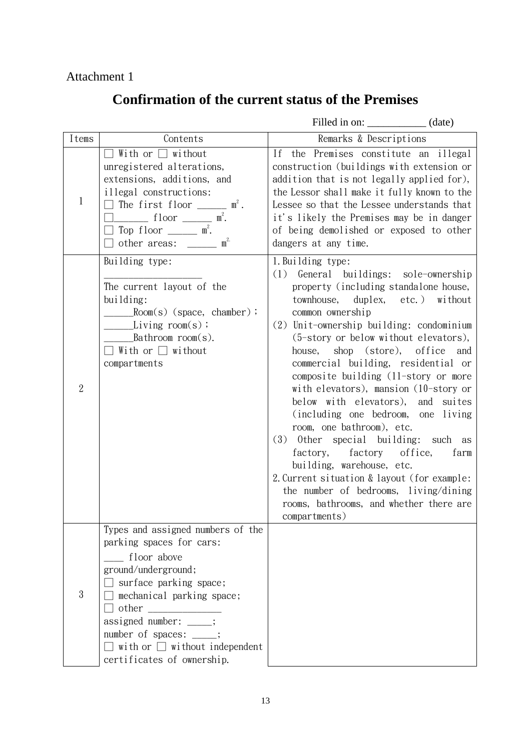Attachment 1

## **Confirmation of the current status of the Premises**

|                |                                                                                                                                                                                                                                                                                                                          | Filled in on: _______________ (date)                                                                                                                                                                                                                                                                                                                                                                                                                                                                                                                                                                                                                                                                                                                                                       |
|----------------|--------------------------------------------------------------------------------------------------------------------------------------------------------------------------------------------------------------------------------------------------------------------------------------------------------------------------|--------------------------------------------------------------------------------------------------------------------------------------------------------------------------------------------------------------------------------------------------------------------------------------------------------------------------------------------------------------------------------------------------------------------------------------------------------------------------------------------------------------------------------------------------------------------------------------------------------------------------------------------------------------------------------------------------------------------------------------------------------------------------------------------|
| Items          | Contents                                                                                                                                                                                                                                                                                                                 | Remarks & Descriptions                                                                                                                                                                                                                                                                                                                                                                                                                                                                                                                                                                                                                                                                                                                                                                     |
| $\mathbf{1}$   | With or $\Box$ without<br>unregistered alterations,<br>extensions, additions, and<br>illegal constructions:<br>The first floor $\_\_\_\_\_\$ n <sup>2</sup> .<br>$\Box$ floor $\Box$ m <sup>2</sup> .<br>$\Box$ Top floor $\Box$ m <sup>2</sup> .<br>$\Box$ other areas: ______ m <sup>2.</sup>                          | If the Premises constitute an illegal<br>construction (buildings with extension or<br>addition that is not legally applied for),<br>the Lessor shall make it fully known to the<br>Lessee so that the Lessee understands that<br>it's likely the Premises may be in danger<br>of being demolished or exposed to other<br>dangers at any time.                                                                                                                                                                                                                                                                                                                                                                                                                                              |
| $\overline{2}$ | Building type:<br>The current layout of the<br>building:<br>$Room(s)$ (space, chamber);<br>$Living room(s)$ ;<br>Bathroom $room(s)$ .<br>$\Box$ With or $\Box$ without<br>compartments                                                                                                                                   | 1. Building type:<br>(1)<br>General buildings: sole-ownership<br>property (including standalone house,<br>townhouse, duplex, etc.) without<br>common ownership<br>(2) Unit-ownership building: condominium<br>(5-story or below without elevators),<br>shop (store), office<br>house,<br>and<br>commercial building, residential or<br>composite building (11-story or more<br>with elevators), mansion (10-story or<br>below with elevators), and suites<br>(including one bedroom, one living<br>room, one bathroom), etc.<br>$(3)$ Other special building: such as<br>factory, factory office,<br>farm<br>building, warehouse, etc.<br>2. Current situation & layout (for example:<br>the number of bedrooms, living/dining<br>rooms, bathrooms, and whether there are<br>compartments) |
| $\mathbf{3}$   | Types and assigned numbers of the<br>parking spaces for cars:<br>floor above<br>ground/underground;<br>$\Box$ surface parking space;<br>mechanical parking space;<br>$\Box$ other $\Box$<br>assigned number: ____;<br>number of spaces: ____;<br>$\Box$ with or $\Box$ without independent<br>certificates of ownership. |                                                                                                                                                                                                                                                                                                                                                                                                                                                                                                                                                                                                                                                                                                                                                                                            |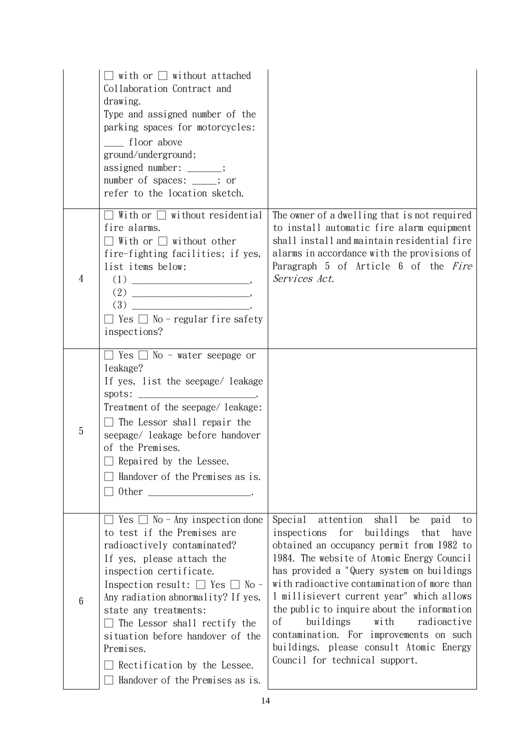|                 | $\Box$ with or $\Box$ without attached<br>Collaboration Contract and<br>drawing.<br>Type and assigned number of the<br>parking spaces for motorcycles:<br>floor above<br>ground/underground;<br>assigned number: _____;<br>number of spaces: ____; or<br>refer to the location sketch.                                                                                                                                                  |                                                                                                                                                                                                                                                                                                                                                                                                                                                                                                                                                  |
|-----------------|-----------------------------------------------------------------------------------------------------------------------------------------------------------------------------------------------------------------------------------------------------------------------------------------------------------------------------------------------------------------------------------------------------------------------------------------|--------------------------------------------------------------------------------------------------------------------------------------------------------------------------------------------------------------------------------------------------------------------------------------------------------------------------------------------------------------------------------------------------------------------------------------------------------------------------------------------------------------------------------------------------|
| $\overline{4}$  | $\Box$ With or $\Box$ without residential<br>fire alarms.<br>$\Box$ With or $\Box$ without other<br>fire-fighting facilities; if yes,<br>list items below:<br>$\Box$ Yes $\Box$ No - regular fire safety<br>inspections?                                                                                                                                                                                                                | The owner of a dwelling that is not required<br>to install automatic fire alarm equipment<br>shall install and maintain residential fire<br>alarms in accordance with the provisions of<br>Paragraph 5 of Article 6 of the Fire<br>Services Act.                                                                                                                                                                                                                                                                                                 |
| 5               | $\Box$ Yes $\Box$ No - water seepage or<br>leakage?<br>If yes, list the seepage/ leakage<br>spots:<br>Treatment of the seepage/ leakage:<br>$\Box$ The Lessor shall repair the<br>seepage/ leakage before handover<br>of the Premises.<br>$\Box$ Repaired by the Lessee.<br>Handover of the Premises as is.<br>Other                                                                                                                    |                                                                                                                                                                                                                                                                                                                                                                                                                                                                                                                                                  |
| $6\phantom{1}6$ | $\Box$ Yes $\Box$ No - Any inspection done<br>to test if the Premises are<br>radioactively contaminated?<br>If yes, please attach the<br>inspection certificate.<br>Inspection result: $\Box$ Yes $\Box$ No -<br>Any radiation abnormality? If yes,<br>state any treatments:<br>$\Box$ The Lessor shall rectify the<br>situation before handover of the<br>Premises.<br>Rectification by the Lessee.<br>Handover of the Premises as is. | attention shall<br>Special<br>be paid<br>to<br>for buildings<br>inspections<br>that<br>have<br>obtained an occupancy permit from 1982 to<br>1984. The website of Atomic Energy Council<br>has provided a "Query system on buildings<br>with radioactive contamination of more than<br>1 millisievert current year" which allows<br>the public to inquire about the information<br>buildings<br>with<br>radioactive<br>οf<br>contamination. For improvements on such<br>buildings, please consult Atomic Energy<br>Council for technical support. |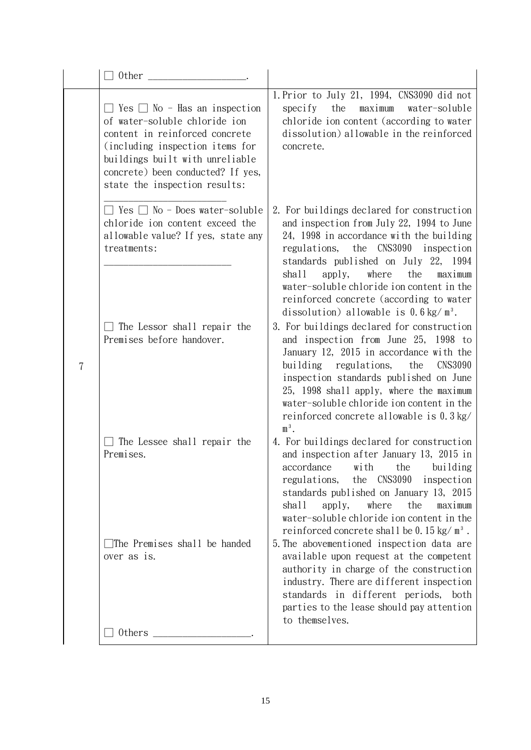|   | 0ther                                                                                                                                                                                                                                                   |                                                                                                                                                                                                                                                                                                                                                                                                              |  |
|---|---------------------------------------------------------------------------------------------------------------------------------------------------------------------------------------------------------------------------------------------------------|--------------------------------------------------------------------------------------------------------------------------------------------------------------------------------------------------------------------------------------------------------------------------------------------------------------------------------------------------------------------------------------------------------------|--|
|   | $\Box$ Yes $\Box$ No - Has an inspection<br>of water-soluble chloride ion<br>content in reinforced concrete<br>(including inspection items for<br>buildings built with unreliable<br>concrete) been conducted? If yes,<br>state the inspection results: | 1. Prior to July 21, 1994, CNS3090 did not<br>the<br>maximum<br>specify<br>water-soluble<br>chloride ion content (according to water<br>dissolution) allowable in the reinforced<br>concrete.                                                                                                                                                                                                                |  |
|   | Yes $\Box$ No - Does water-soluble<br>chloride ion content exceed the<br>allowable value? If yes, state any<br>treatments:                                                                                                                              | 2. For buildings declared for construction<br>and inspection from July 22, 1994 to June<br>24, 1998 in accordance with the building<br>regulations, the CNS3090 inspection<br>standards published on July 22, 1994<br>shall<br>apply,<br>where<br>the<br>maximum<br>water-soluble chloride ion content in the<br>reinforced concrete (according to water<br>dissolution) allowable is $0.6 \text{ kg/m}^3$ . |  |
| 7 | The Lessor shall repair the<br>Premises before handover.                                                                                                                                                                                                | 3. For buildings declared for construction<br>and inspection from June 25, 1998 to<br>January 12, 2015 in accordance with the<br>building regulations,<br>the<br><b>CNS3090</b><br>inspection standards published on June<br>25, 1998 shall apply, where the maximum<br>water-soluble chloride ion content in the<br>reinforced concrete allowable is 0.3 kg/<br>$m3$ .                                      |  |
|   | The Lessee shall repair the<br>Premises.                                                                                                                                                                                                                | 4. For buildings declared for construction<br>and inspection after January 13, 2015 in<br>accordance with the building<br><b>CNS3090</b><br>regulations,<br>the<br>inspection<br>standards published on January 13, 2015<br>shall<br>the<br>apply,<br>where<br>maximum<br>water-soluble chloride ion content in the<br>reinforced concrete shall be $0.15 \text{ kg/m}^3$ .                                  |  |
|   | The Premises shall be handed<br>over as is.                                                                                                                                                                                                             | 5. The abovementioned inspection data are<br>available upon request at the competent<br>authority in charge of the construction<br>industry. There are different inspection<br>standards in different periods, both<br>parties to the lease should pay attention<br>to themselves.                                                                                                                           |  |
|   | Others                                                                                                                                                                                                                                                  |                                                                                                                                                                                                                                                                                                                                                                                                              |  |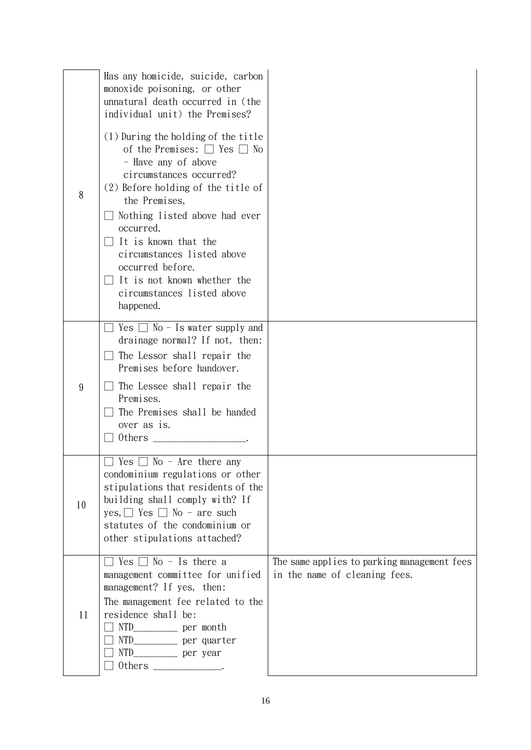| 8     | Has any homicide, suicide, carbon<br>monoxide poisoning, or other<br>unnatural death occurred in (the<br>individual unit) the Premises?<br>(1) During the holding of the title<br>of the Premises: $\Box$ Yes $\Box$ No<br>- Have any of above<br>circumstances occurred?<br>(2) Before holding of the title of<br>the Premises,<br>Nothing listed above had ever<br>occurred.<br>It is known that the<br>circumstances listed above<br>occurred before.<br>It is not known whether the<br>circumstances listed above<br>happened. |                                                                              |
|-------|------------------------------------------------------------------------------------------------------------------------------------------------------------------------------------------------------------------------------------------------------------------------------------------------------------------------------------------------------------------------------------------------------------------------------------------------------------------------------------------------------------------------------------|------------------------------------------------------------------------------|
| $9\,$ | Yes $\Box$ No - Is water supply and<br>drainage normal? If not, then:<br>$\Box$ The Lessor shall repair the<br>Premises before handover.<br>The Lessee shall repair the<br>Premises.<br>The Premises shall be handed<br>over as is.<br>Others                                                                                                                                                                                                                                                                                      |                                                                              |
| 10    | Yes [<br>$No - Are there any$<br>condominium regulations or other<br>stipulations that residents of the<br>building shall comply with? If<br>yes, $\Box$ Yes $\Box$ No - are such<br>statutes of the condominium or<br>other stipulations attached?                                                                                                                                                                                                                                                                                |                                                                              |
| 11    | $\Box$ Yes $\Box$ No - Is there a<br>management committee for unified<br>management? If yes, then:<br>The management fee related to the<br>residence shall be:<br>NTD_____________ per quarter<br>0thers $\_\_$ .                                                                                                                                                                                                                                                                                                                  | The same applies to parking management fees<br>in the name of cleaning fees. |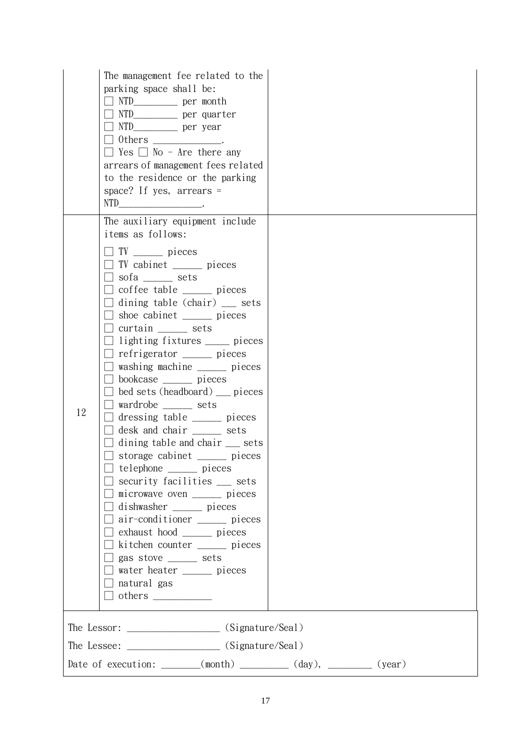|    | The management fee related to the<br>parking space shall be:<br>□ NTD___________ per quarter<br>0thers _____________.<br>$\Box$ Yes $\Box$ No - Are there any<br>arrears of management fees related<br>to the residence or the parking<br>space? If yes, $\arref{erms}$ =<br>NTD $\qquad \qquad$                                                                                                                                                                                                                                                                                                                                                                                                                                                                                                                                                                                                                                                                                                                                                     |  |
|----|------------------------------------------------------------------------------------------------------------------------------------------------------------------------------------------------------------------------------------------------------------------------------------------------------------------------------------------------------------------------------------------------------------------------------------------------------------------------------------------------------------------------------------------------------------------------------------------------------------------------------------------------------------------------------------------------------------------------------------------------------------------------------------------------------------------------------------------------------------------------------------------------------------------------------------------------------------------------------------------------------------------------------------------------------|--|
| 12 | The auxiliary equipment include<br>items as follows:<br>$\Box$ TV _______ pieces<br>□ TV cabinet <u>___</u> pieces<br>sofa ______ sets<br>$\Box$ coffee table $\_\_$ pieces<br>$\Box$ dining table (chair) $\Box$ sets<br>□ shoe cabinet _____ pieces<br>$\Box$ curtain _______ sets<br>$\Box$ lighting fixtures ______ pieces<br>$\Box$ refrigerator $\_\_\_\_\$ pieces<br>$\Box$ washing machine $\_\_\_\_\_\$ pieces<br>$\Box$ bookcase $\_\_$ pieces<br>$\Box$ bed sets (headboard) $\Box$ pieces<br>□ wardrobe ______ sets<br>$\Box$ dressing table $\_\_\_\_\$ pieces<br>desk and chair ______ sets<br>$\Box$ dining table and chair $\Box$ sets<br>storage cabinet ______ pieces<br>$\Box$ telephone ________ pieces<br>$\Box$ security facilities $\_\_$ sets<br>$\Box$ microwave oven $\_\_\_\_\_\_\$ pieces<br>$\Box$ dishwasher ______ pieces<br>air-conditioner ______ pieces<br>exhaust hood ______ pieces<br>$\Box$ kitchen counter $\_\_$ pieces<br>$\Box$ gas stove _______ sets<br>water heater ______ pieces<br>$\Box$ natural gas |  |
|    |                                                                                                                                                                                                                                                                                                                                                                                                                                                                                                                                                                                                                                                                                                                                                                                                                                                                                                                                                                                                                                                      |  |
|    |                                                                                                                                                                                                                                                                                                                                                                                                                                                                                                                                                                                                                                                                                                                                                                                                                                                                                                                                                                                                                                                      |  |
|    | Date of execution: $\_\_\_\_\_$ (month) $\_\_\_\_\_\_$ (day), $\_\_\_\_\_\_$ (year)                                                                                                                                                                                                                                                                                                                                                                                                                                                                                                                                                                                                                                                                                                                                                                                                                                                                                                                                                                  |  |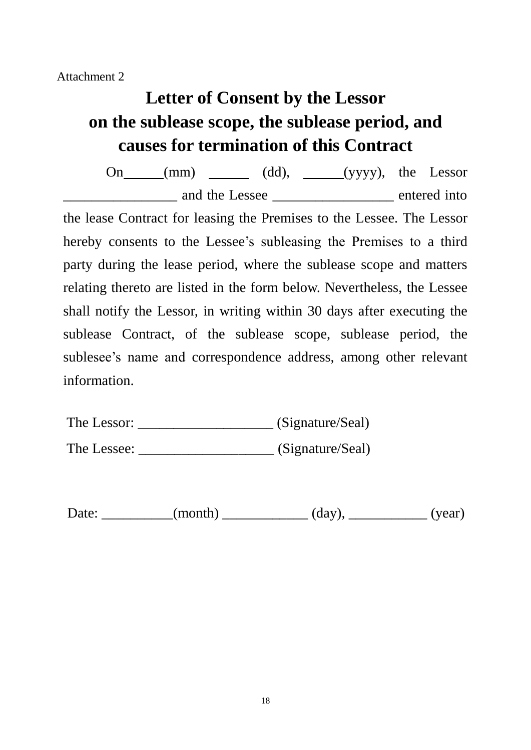Attachment 2

## **Letter of Consent by the Lessor on the sublease scope, the sublease period, and causes for termination of this Contract**

On  $(mm)$   $(dd)$ ,  $(yyyy)$ , the Lessor entered into and the Lessee the series of the entered into the lease Contract for leasing the Premises to the Lessee. The Lessor hereby consents to the Lessee's subleasing the Premises to a third party during the lease period, where the sublease scope and matters relating thereto are listed in the form below. Nevertheless, the Lessee shall notify the Lessor, in writing within 30 days after executing the sublease Contract, of the sublease scope, sublease period, the sublesee's name and correspondence address, among other relevant information.

| The Lessor: | (Signature/Seal) |
|-------------|------------------|
|             |                  |

The Lessee: \_\_\_\_\_\_\_\_\_\_\_\_\_\_\_\_\_\_\_\_\_\_\_ (Signature/Seal)

| Date: |  | (month) | (day | (vear)<br>$\mathbf{v}$ . |
|-------|--|---------|------|--------------------------|
|-------|--|---------|------|--------------------------|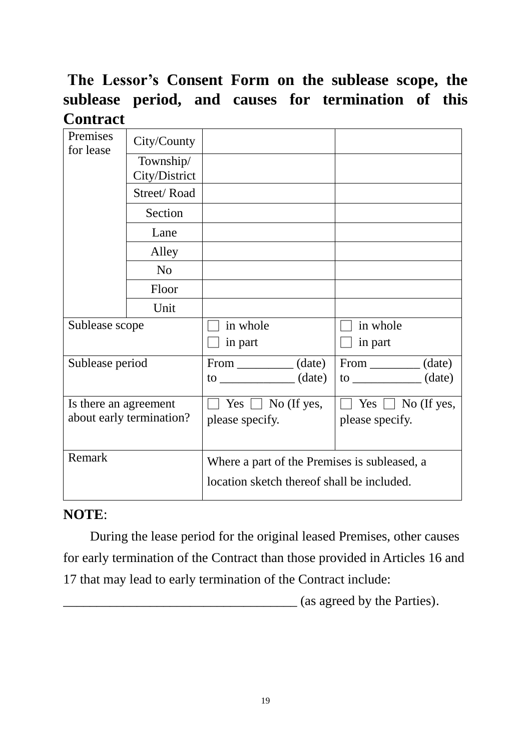## **The Lessor's Consent Form on the sublease scope, the sublease period, and causes for termination of this Contract**

| Premises<br>for lease                             | City/County                |                                                                                        |                      |  |
|---------------------------------------------------|----------------------------|----------------------------------------------------------------------------------------|----------------------|--|
|                                                   | Township/<br>City/District |                                                                                        |                      |  |
|                                                   | Street/Road                |                                                                                        |                      |  |
|                                                   | Section                    |                                                                                        |                      |  |
|                                                   | Lane                       |                                                                                        |                      |  |
|                                                   | Alley                      |                                                                                        |                      |  |
|                                                   | N <sub>o</sub>             |                                                                                        |                      |  |
|                                                   | Floor                      |                                                                                        |                      |  |
|                                                   | Unit                       |                                                                                        |                      |  |
| Sublease scope                                    |                            | in whole                                                                               | in whole             |  |
|                                                   |                            | in part                                                                                | in part              |  |
| Sublease period                                   |                            | From ____________ (date)                                                               | $From \_\_\_ (date)$ |  |
|                                                   |                            | $\frac{1}{2}$ (date)                                                                   | $\frac{1}{2}$ (date) |  |
| Is there an agreement<br>about early termination? |                            | Yes $\Box$ No (If yes,<br>$Yes \Box No (If yes,$<br>please specify.<br>please specify. |                      |  |
| Remark                                            |                            | Where a part of the Premises is subleased, a                                           |                      |  |
|                                                   |                            | location sketch thereof shall be included.                                             |                      |  |

### **NOTE**:

During the lease period for the original leased Premises, other causes for early termination of the Contract than those provided in Articles 16 and 17 that may lead to early termination of the Contract include:

\_\_\_\_\_\_\_\_\_\_\_\_\_\_\_\_\_\_\_\_\_\_\_\_\_\_\_\_\_\_\_\_\_\_\_ (as agreed by the Parties).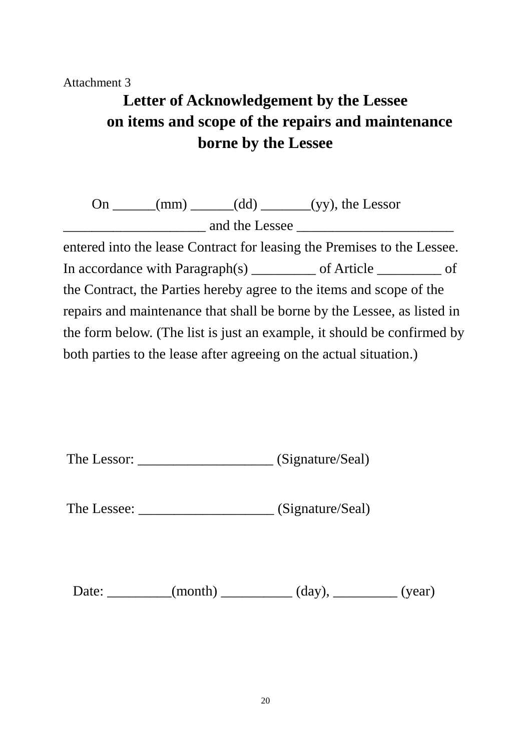### Attachment 3

## **Letter of Acknowledgement by the Lessee on items and scope of the repairs and maintenance borne by the Lessee**

On  $\_\_\_\_\_\_\_\$ (mm)  $\_\_\_\_\_$ (dd)  $\_\_\_\_\_\_\_\_\_\_\_\$ (yy), the Lessor \_\_\_\_\_\_\_\_\_\_\_\_\_\_\_\_\_\_\_\_ and the Lessee \_\_\_\_\_\_\_\_\_\_\_\_\_\_\_\_\_\_\_\_\_\_

entered into the lease Contract for leasing the Premises to the Lessee. In accordance with Paragraph(s) \_\_\_\_\_\_\_\_ of Article \_\_\_\_\_\_\_ of the Contract, the Parties hereby agree to the items and scope of the repairs and maintenance that shall be borne by the Lessee, as listed in the form below. (The list is just an example, it should be confirmed by both parties to the lease after agreeing on the actual situation.)

| The Lessor: | (Signature/Seal) |
|-------------|------------------|
|-------------|------------------|

The Lessee: \_\_\_\_\_\_\_\_\_\_\_\_\_\_\_\_\_\_\_\_\_\_\_ (Signature/Seal)

Date: \_\_\_\_\_\_\_\_(month) \_\_\_\_\_\_\_\_\_(day), \_\_\_\_\_\_\_\_(year)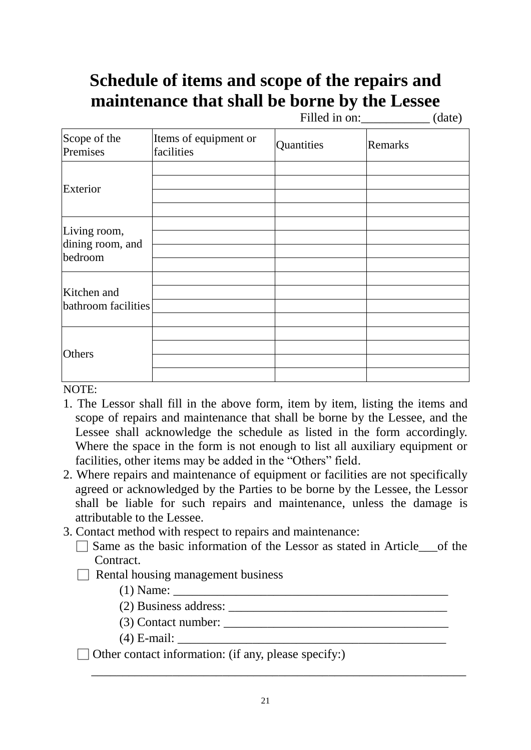## **Schedule of items and scope of the repairs and maintenance that shall be borne by the Lessee**

Filled in on: (date)

| Scope of the<br>Premises                    | Items of equipment or<br>facilities | Quantities | Remarks |
|---------------------------------------------|-------------------------------------|------------|---------|
| Exterior                                    |                                     |            |         |
| Living room,<br>dining room, and<br>bedroom |                                     |            |         |
| Kitchen and<br>bathroom facilities          |                                     |            |         |
| Others                                      |                                     |            |         |

NOTE:

- 1. The Lessor shall fill in the above form, item by item, listing the items and scope of repairs and maintenance that shall be borne by the Lessee, and the Lessee shall acknowledge the schedule as listed in the form accordingly. Where the space in the form is not enough to list all auxiliary equipment or facilities, other items may be added in the "Others" field.
- 2. Where repairs and maintenance of equipment or facilities are not specifically agreed or acknowledged by the Parties to be borne by the Lessee, the Lessor shall be liable for such repairs and maintenance, unless the damage is attributable to the Lessee.
- 3. Contact method with respect to repairs and maintenance:
	- □ Same as the basic information of the Lessor as stated in Article\_\_\_of the Contract.
	- $\Box$  Rental housing management business

 $(1)$  Name:

- (2) Business address: \_\_\_\_\_\_\_\_\_\_\_\_\_\_\_\_\_\_\_\_\_\_\_\_\_\_\_\_\_\_\_\_\_\_\_
- $(3)$  Contact number:  $\overline{\phantom{a}}$
- $(4)$  E-mail:
- $\Box$  Other contact information: (if any, please specify:)

\_\_\_\_\_\_\_\_\_\_\_\_\_\_\_\_\_\_\_\_\_\_\_\_\_\_\_\_\_\_\_\_\_\_\_\_\_\_\_\_\_\_\_\_\_\_\_\_\_\_\_\_\_\_\_\_\_\_\_\_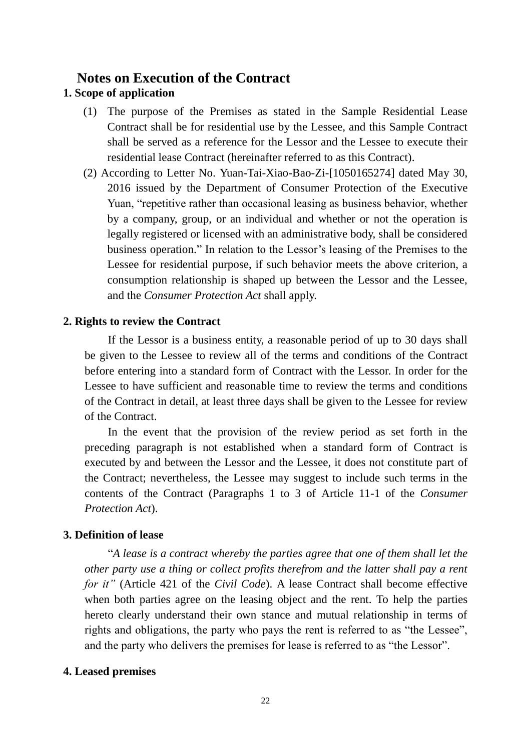### **Notes on Execution of the Contract**

### **1. Scope of application**

- (1) The purpose of the Premises as stated in the Sample Residential Lease Contract shall be for residential use by the Lessee, and this Sample Contract shall be served as a reference for the Lessor and the Lessee to execute their residential lease Contract (hereinafter referred to as this Contract).
- (2) According to Letter No. Yuan-Tai-Xiao-Bao-Zi-[1050165274] dated May 30, 2016 issued by the Department of Consumer Protection of the Executive Yuan, "repetitive rather than occasional leasing as business behavior, whether by a company, group, or an individual and whether or not the operation is legally registered or licensed with an administrative body, shall be considered business operation." In relation to the Lessor's leasing of the Premises to the Lessee for residential purpose, if such behavior meets the above criterion, a consumption relationship is shaped up between the Lessor and the Lessee, and the *[Consumer Protection Act](https://law.moj.gov.tw/ENG/LawClass/LawAll.aspx?pcode=J0170001)* shall apply.

### **2. Rights to review the Contract**

If the Lessor is a business entity, a reasonable period of up to 30 days shall be given to the Lessee to review all of the terms and conditions of the Contract before entering into a standard form of Contract with the Lessor. In order for the Lessee to have sufficient and reasonable time to review the terms and conditions of the Contract in detail, at least three days shall be given to the Lessee for review of the Contract.

In the event that the provision of the review period as set forth in the preceding paragraph is not established when a standard form of Contract is executed by and between the Lessor and the Lessee, it does not constitute part of the Contract; nevertheless, the Lessee may suggest to include such terms in the contents of the Contract (Paragraphs 1 to 3 of Article 11-1 of the *Consumer Protection Act*).

### **3. Definition of lease**

"*A lease is a contract whereby the parties agree that one of them shall let the other party use a thing or collect profits therefrom and the latter shall pay a rent for it"* (Article 421 of the *Civil Code*). A lease Contract shall become effective when both parties agree on the leasing object and the rent. To help the parties hereto clearly understand their own stance and mutual relationship in terms of rights and obligations, the party who pays the rent is referred to as "the Lessee", and the party who delivers the premises for lease is referred to as "the Lessor".

### **4. Leased premises**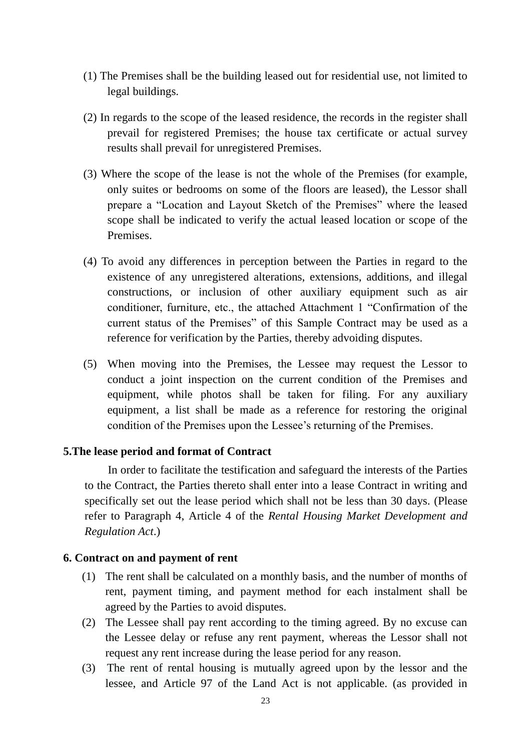- (1) The Premises shall be the building leased out for residential use, not limited to legal buildings.
- (2) In regards to the scope of the leased residence, the records in the register shall prevail for registered Premises; the house tax certificate or actual survey results shall prevail for unregistered Premises.
- (3) Where the scope of the lease is not the whole of the Premises (for example, only suites or bedrooms on some of the floors are leased), the Lessor shall prepare a "Location and Layout Sketch of the Premises" where the leased scope shall be indicated to verify the actual leased location or scope of the Premises.
- (4) To avoid any differences in perception between the Parties in regard to the existence of any unregistered alterations, extensions, additions, and illegal constructions, or inclusion of other auxiliary equipment such as air conditioner, furniture, etc., the attached Attachment 1 "Confirmation of the current status of the Premises" of this Sample Contract may be used as a reference for verification by the Parties, thereby advoiding disputes.
- (5) When moving into the Premises, the Lessee may request the Lessor to conduct a joint inspection on the current condition of the Premises and equipment, while photos shall be taken for filing. For any auxiliary equipment, a list shall be made as a reference for restoring the original condition of the Premises upon the Lessee's returning of the Premises.

### **5.The lease period and format of Contract**

In order to facilitate the testification and safeguard the interests of the Parties to the Contract, the Parties thereto shall enter into a lease Contract in writing and specifically set out the lease period which shall not be less than 30 days. (Please refer to Paragraph 4, Article 4 of the *Rental Housing Market Development and Regulation Act*.)

### **6. Contract on and payment of rent**

- (1) The rent shall be calculated on a monthly basis, and the number of months of rent, payment timing, and payment method for each instalment shall be agreed by the Parties to avoid disputes.
- (2) The Lessee shall pay rent according to the timing agreed. By no excuse can the Lessee delay or refuse any rent payment, whereas the Lessor shall not request any rent increase during the lease period for any reason.
- (3) The rent of rental housing is mutually agreed upon by the lessor and the lessee, and Article 97 of the Land Act is not applicable. (as provided in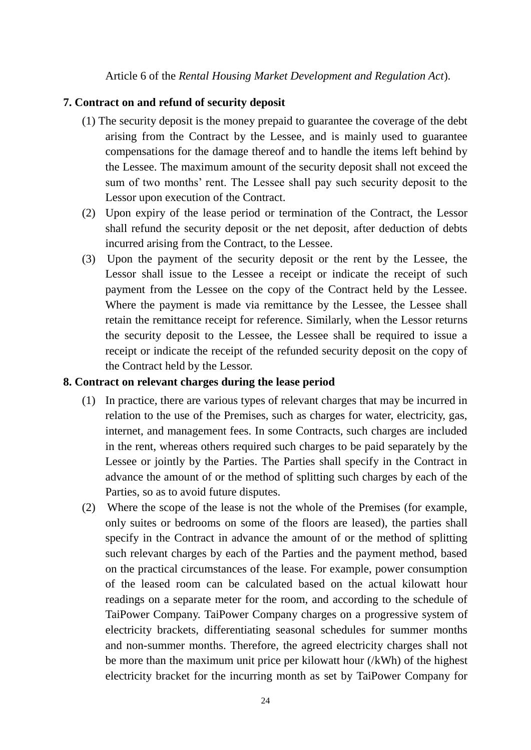Article 6 of the *Rental Housing Market Development and Regulation Act*).

### **7. Contract on and refund of security deposit**

- (1) The security deposit is the money prepaid to guarantee the coverage of the debt arising from the Contract by the Lessee, and is mainly used to guarantee compensations for the damage thereof and to handle the items left behind by the Lessee. The maximum amount of the security deposit shall not exceed the sum of two months' rent. The Lessee shall pay such security deposit to the Lessor upon execution of the Contract.
- (2) Upon expiry of the lease period or termination of the Contract, the Lessor shall refund the security deposit or the net deposit, after deduction of debts incurred arising from the Contract, to the Lessee.
- (3) Upon the payment of the security deposit or the rent by the Lessee, the Lessor shall issue to the Lessee a receipt or indicate the receipt of such payment from the Lessee on the copy of the Contract held by the Lessee. Where the payment is made via remittance by the Lessee, the Lessee shall retain the remittance receipt for reference. Similarly, when the Lessor returns the security deposit to the Lessee, the Lessee shall be required to issue a receipt or indicate the receipt of the refunded security deposit on the copy of the Contract held by the Lessor.

### **8. Contract on relevant charges during the lease period**

- (1) In practice, there are various types of relevant charges that may be incurred in relation to the use of the Premises, such as charges for water, electricity, gas, internet, and management fees. In some Contracts, such charges are included in the rent, whereas others required such charges to be paid separately by the Lessee or jointly by the Parties. The Parties shall specify in the Contract in advance the amount of or the method of splitting such charges by each of the Parties, so as to avoid future disputes.
- (2) Where the scope of the lease is not the whole of the Premises (for example, only suites or bedrooms on some of the floors are leased), the parties shall specify in the Contract in advance the amount of or the method of splitting such relevant charges by each of the Parties and the payment method, based on the practical circumstances of the lease. For example, power consumption of the leased room can be calculated based on the actual kilowatt hour readings on a separate meter for the room, and according to the schedule of TaiPower Company. TaiPower Company charges on a [progressive system](http://terms.naer.edu.tw/detail/3133220/?index=1) of electricity brackets, differentiating seasonal schedules for summer months and non-summer months. Therefore, the agreed electricity charges shall not be more than the maximum unit price per kilowatt hour (/kWh) of the highest electricity bracket for the incurring month as set by TaiPower Company for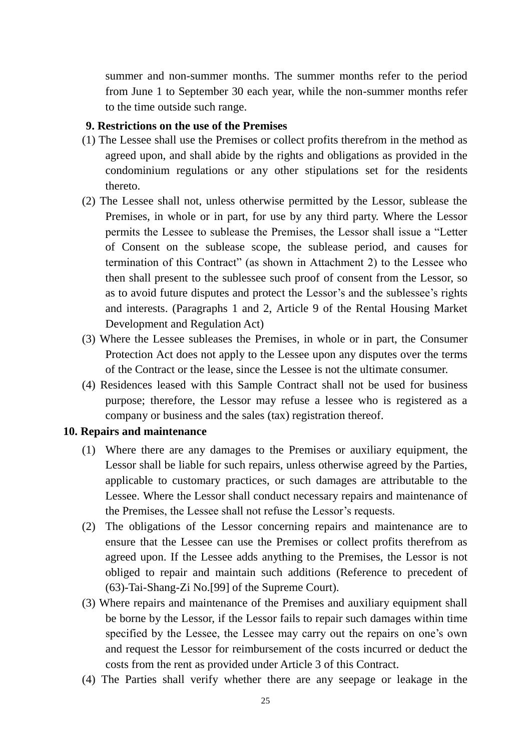summer and non-summer months. The summer months refer to the period from June 1 to September 30 each year, while the non-summer months refer to the time outside such range.

### **9. Restrictions on the use of the Premises**

- (1) The Lessee shall use the Premises or collect profits therefrom in the method as agreed upon, and shall abide by the rights and obligations as provided in the condominium regulations or any other stipulations set for the residents thereto.
- (2) The Lessee shall not, unless otherwise permitted by the Lessor, sublease the Premises, in whole or in part, for use by any third party. Where the Lessor permits the Lessee to sublease the Premises, the Lessor shall issue a "Letter of Consent on the sublease scope, the sublease period, and causes for termination of this Contract" (as shown in Attachment 2) to the Lessee who then shall present to the sublessee such proof of consent from the Lessor, so as to avoid future disputes and protect the Lessor's and the sublessee's rights and interests. (Paragraphs 1 and 2, Article 9 of the Rental Housing Market Development and Regulation Act)
- (3) Where the Lessee subleases the Premises, in whole or in part, the [Consumer](https://law.moj.gov.tw/ENG/LawClass/LawAll.aspx?pcode=J0170001)  [Protection Act](https://law.moj.gov.tw/ENG/LawClass/LawAll.aspx?pcode=J0170001) does not apply to the Lessee upon any disputes over the terms of the Contract or the lease, since the Lessee is not the ultimate consumer.
- (4) Residences leased with this Sample Contract shall not be used for business purpose; therefore, the Lessor may refuse a lessee who is registered as a company or business and the sales (tax) registration thereof.

### **10. Repairs and maintenance**

- (1) Where there are any damages to the Premises or auxiliary equipment, the Lessor shall be liable for such repairs, unless otherwise agreed by the Parties, applicable to customary practices, or such damages are attributable to the Lessee. Where the Lessor shall conduct necessary repairs and maintenance of the Premises, the Lessee shall not refuse the Lessor's requests.
- (2) The obligations of the Lessor concerning repairs and maintenance are to ensure that the Lessee can use the Premises or collect profits therefrom as agreed upon. If the Lessee adds anything to the Premises, the Lessor is not obliged to repair and maintain such additions (Reference to precedent of (63)-Tai-Shang-Zi No.[99] of the Supreme Court).
- (3) Where repairs and maintenance of the Premises and auxiliary equipment shall be borne by the Lessor, if the Lessor fails to repair such damages within time specified by the Lessee, the Lessee may carry out the repairs on one's own and request the Lessor for reimbursement of the costs incurred or deduct the costs from the rent as provided under Article 3 of this Contract.
- (4) The Parties shall verify whether there are any seepage or leakage in the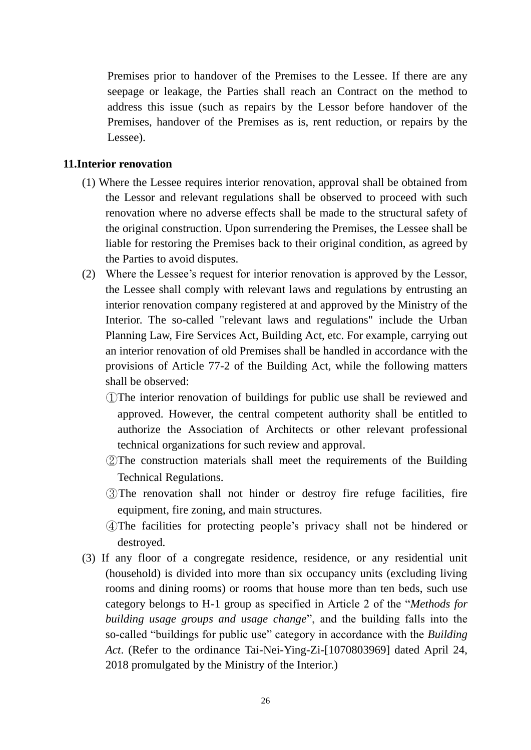Premises prior to handover of the Premises to the Lessee. If there are any seepage or leakage, the Parties shall reach an Contract on the method to address this issue (such as repairs by the Lessor before handover of the Premises, handover of the Premises as is, rent reduction, or repairs by the Lessee).

### **11.Interior renovation**

- (1) Where the Lessee requires interior renovation, approval shall be obtained from the Lessor and relevant regulations shall be observed to proceed with such renovation where no adverse effects shall be made to the structural safety of the original construction. Upon surrendering the Premises, the Lessee shall be liable for restoring the Premises back to their original condition, as agreed by the Parties to avoid disputes.
- (2) Where the Lessee's request for interior renovation is approved by the Lessor, the Lessee shall comply with relevant laws and regulations by entrusting an interior renovation company registered at and approved by the Ministry of the Interior. The so-called "relevant laws and regulations" include the Urban Planning Law, Fire Services Act, Building Act, etc. For example, carrying out an interior renovation of old Premises shall be handled in accordance with the provisions of Article 77-2 of the Building Act, while the following matters shall be observed:
	- ①The interior renovation of buildings for public use shall be reviewed and approved. However, the central competent authority shall be entitled to authorize the Association of Architects or other relevant professional technical organizations for such review and approval.
	- ②The construction materials shall meet the requirements of the Building Technical Regulations.
	- ③The renovation shall not hinder or destroy fire refuge facilities, fire equipment, fire zoning, and main structures.
	- ④The facilities for protecting people's privacy shall not be hindered or destroyed.
- (3) If any floor of a congregate residence, residence, or any residential unit (household) is divided into more than six occupancy units (excluding living rooms and dining rooms) or rooms that house more than ten beds, such use category belongs to H-1 group as specified in Article 2 of the "*Methods for building usage groups and usage change*", and the building falls into the so-called "buildings for public use" category in accordance with the *Building Act*. (Refer to the ordinance Tai-Nei-Ying-Zi-[1070803969] dated April 24, 2018 promulgated by the Ministry of the Interior.)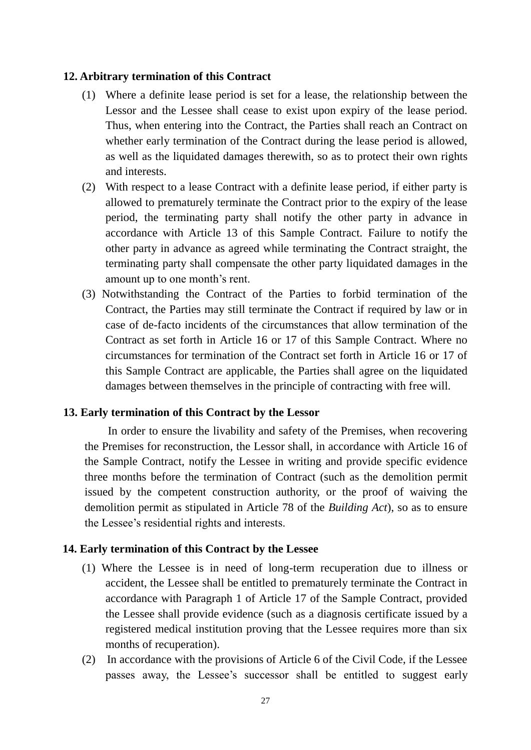### **12. Arbitrary termination of this Contract**

- (1) Where a definite lease period is set for a lease, the relationship between the Lessor and the Lessee shall cease to exist upon expiry of the lease period. Thus, when entering into the Contract, the Parties shall reach an Contract on whether early termination of the Contract during the lease period is allowed, as well as the liquidated damages therewith, so as to protect their own rights and interests.
- (2) With respect to a lease Contract with a definite lease period, if either party is allowed to prematurely terminate the Contract prior to the expiry of the lease period, the terminating party shall notify the other party in advance in accordance with Article 13 of this Sample Contract. Failure to notify the other party in advance as agreed while terminating the Contract straight, the terminating party shall compensate the other party liquidated damages in the amount up to one month's rent.
- (3) Notwithstanding the Contract of the Parties to forbid termination of the Contract, the Parties may still terminate the Contract if required by law or in case of de-facto incidents of the circumstances that allow termination of the Contract as set forth in Article 16 or 17 of this Sample Contract. Where no circumstances for termination of the Contract set forth in Article 16 or 17 of this Sample Contract are applicable, the Parties shall agree on the liquidated damages between themselves in the principle of contracting with free will.

### **13. Early termination of this Contract by the Lessor**

In order to ensure the livability and safety of the Premises, when recovering the Premises for reconstruction, the Lessor shall, in accordance with Article 16 of the Sample Contract, notify the Lessee in writing and provide specific evidence three months before the termination of Contract (such as the demolition permit issued by the competent construction authority, or the proof of waiving the demolition permit as stipulated in Article 78 of the *Building Act*), so as to ensure the Lessee's residential rights and interests.

### **14. Early termination of this Contract by the Lessee**

- (1) Where the Lessee is in need of long-term recuperation due to illness or accident, the Lessee shall be entitled to prematurely terminate the Contract in accordance with Paragraph 1 of Article 17 of the Sample Contract, provided the Lessee shall provide evidence (such as a diagnosis certificate issued by a registered medical institution proving that the Lessee requires more than six months of recuperation).
- (2) In accordance with the provisions of Article 6 of the Civil Code, if the Lessee passes away, the Lessee's successor shall be entitled to suggest early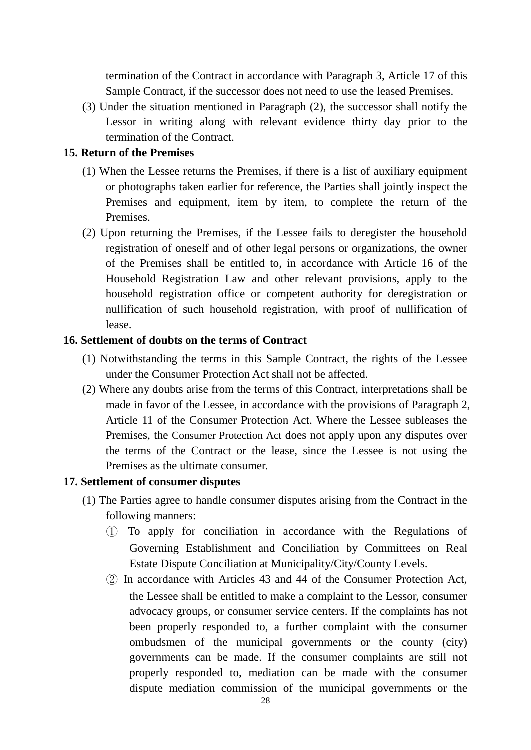termination of the Contract in accordance with Paragraph 3, Article 17 of this Sample Contract, if the successor does not need to use the leased Premises.

(3) Under the situation mentioned in Paragraph (2), the successor shall notify the Lessor in writing along with relevant evidence thirty day prior to the termination of the Contract.

### **15. Return of the Premises**

- (1) When the Lessee returns the Premises, if there is a list of auxiliary equipment or photographs taken earlier for reference, the Parties shall jointly inspect the Premises and equipment, item by item, to complete the return of the Premises.
- (2) Upon returning the Premises, if the Lessee fails to deregister the household registration of oneself and of other legal persons or organizations, the owner of the Premises shall be entitled to, in accordance with Article 16 of the Household Registration Law and other relevant provisions, apply to the household registration office or competent authority for deregistration or nullification of such household registration, with proof of nullification of lease.

#### **16. Settlement of doubts on the terms of Contract**

- (1) Notwithstanding the terms in this Sample Contract, the rights of the Lessee under the Consumer Protection Act shall not be affected.
- (2) Where any doubts arise from the terms of this Contract, interpretations shall be made in favor of the Lessee, in accordance with the provisions of Paragraph 2, Article 11 of the Consumer Protection Act. Where the Lessee subleases the Premises, the [Consumer Protection Act](https://law.moj.gov.tw/ENG/LawClass/LawAll.aspx?pcode=J0170001) does not apply upon any disputes over the terms of the Contract or the lease, since the Lessee is not using the Premises as the ultimate consumer.

### **17. Settlement of consumer disputes**

- (1) The Parties agree to handle consumer disputes arising from the Contract in the following manners:
	- ① To apply for conciliation in accordance with the Regulations of Governing Establishment and Conciliation by Committees on Real Estate Dispute Conciliation at Municipality/City/County Levels.
	- ② In accordance with Articles 43 and 44 of the Consumer Protection Act, the Lessee shall be entitled to make a complaint to the Lessor, consumer advocacy groups, or consumer service centers. If the complaints has not been properly responded to, a further complaint with the consumer ombudsmen of the municipal governments or the county (city) governments can be made. If the consumer complaints are still not properly responded to, mediation can be made with the consumer dispute mediation commission of the municipal governments or the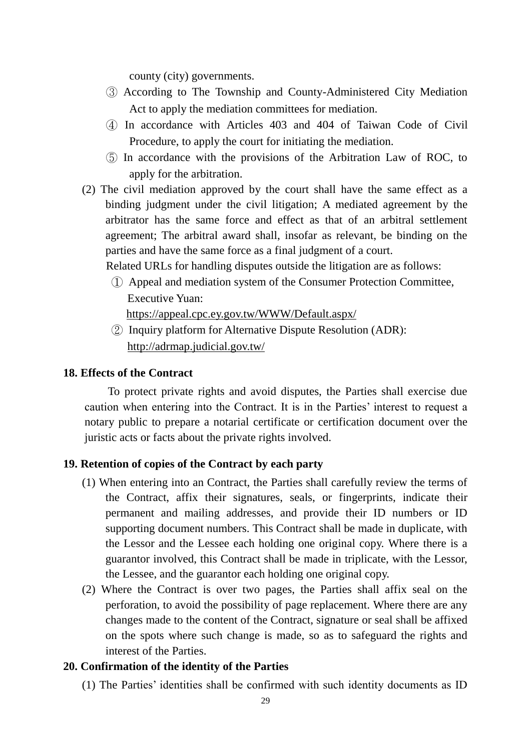county (city) governments.

- ③ According to The Township and County-Administered City Mediation Act to apply the mediation committees for mediation.
- ④ In accordance with Articles 403 and 404 of [Taiwan Code of Civil](https://law.moj.gov.tw/ENG/LawClass/LawAll.aspx?pcode=B0010001)  [Procedure,](https://law.moj.gov.tw/ENG/LawClass/LawAll.aspx?pcode=B0010001) to apply the court for initiating the mediation.
- ⑤ In accordance with the provisions of the Arbitration Law of ROC, to apply for the arbitration.
- (2) The civil mediation approved by the court shall have the same effect as a binding judgment under the civil litigation; A mediated agreement by the arbitrator has the same force and effect as that of an arbitral settlement agreement; The arbitral award shall, insofar as relevant, be binding on the parties and have the same force as a final judgment of a court.

Related URLs for handling disputes outside the litigation are as follows:

① Appeal and mediation system of the Consumer Protection Committee, Executive Yuan:

https://appeal.cpc.ey.gov.tw/WWW/Default.aspx/

② Inquiry platform for Alternative Dispute Resolution (ADR): <http://adrmap.judicial.gov.tw/>

### **18. Effects of the Contract**

To protect private rights and avoid disputes, the Parties shall exercise due caution when entering into the Contract. It is in the Parties' interest to request a notary public to prepare a notarial certificate or certification document over the juristic acts or facts about the private rights involved.

### **19. Retention of copies of the Contract by each party**

- (1) When entering into an Contract, the Parties shall carefully review the terms of the Contract, affix their signatures, seals, or fingerprints, indicate their permanent and mailing addresses, and provide their ID numbers or ID supporting document numbers. This Contract shall be made in duplicate, with the Lessor and the Lessee each holding one original copy. Where there is a guarantor involved, this Contract shall be made in triplicate, with the Lessor, the Lessee, and the guarantor each holding one original copy.
- (2) Where the Contract is over two pages, the Parties shall affix seal on the perforation, to avoid the possibility of page replacement. Where there are any changes made to the content of the Contract, signature or seal shall be affixed on the spots where such change is made, so as to safeguard the rights and interest of the Parties.

### **20. Confirmation of the identity of the Parties**

(1) The Parties' identities shall be confirmed with such identity documents as ID